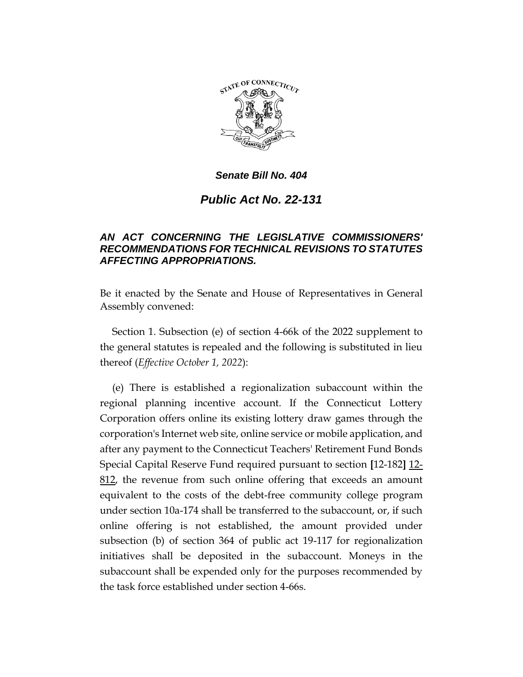

#### *Senate Bill No. 404*

# *Public Act No. 22-131*

### *AN ACT CONCERNING THE LEGISLATIVE COMMISSIONERS' RECOMMENDATIONS FOR TECHNICAL REVISIONS TO STATUTES AFFECTING APPROPRIATIONS.*

Be it enacted by the Senate and House of Representatives in General Assembly convened:

Section 1. Subsection (e) of section 4-66k of the 2022 supplement to the general statutes is repealed and the following is substituted in lieu thereof (*Effective October 1, 2022*):

(e) There is established a regionalization subaccount within the regional planning incentive account. If the Connecticut Lottery Corporation offers online its existing lottery draw games through the corporation's Internet web site, online service or mobile application, and after any payment to the Connecticut Teachers' Retirement Fund Bonds Special Capital Reserve Fund required pursuant to section **[**12-182**]** 12- 812, the revenue from such online offering that exceeds an amount equivalent to the costs of the debt-free community college program under section 10a-174 shall be transferred to the subaccount, or, if such online offering is not established, the amount provided under subsection (b) of section 364 of public act 19-117 for regionalization initiatives shall be deposited in the subaccount. Moneys in the subaccount shall be expended only for the purposes recommended by the task force established under section 4-66s.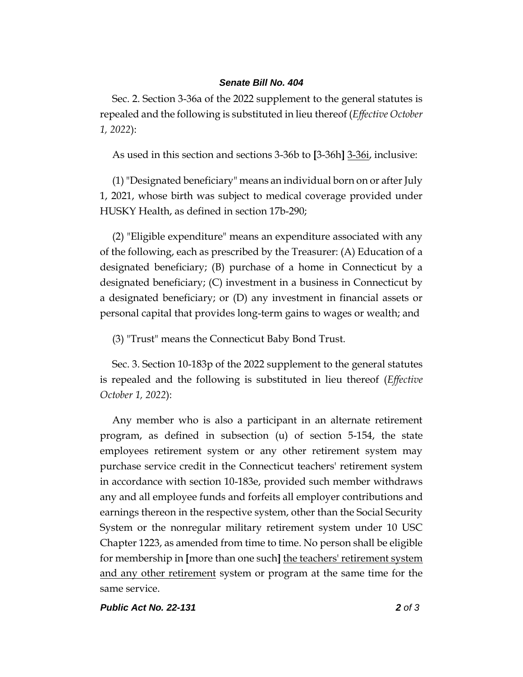#### *Senate Bill No. 404*

Sec. 2. Section 3-36a of the 2022 supplement to the general statutes is repealed and the following is substituted in lieu thereof (*Effective October 1, 2022*):

As used in this section and sections 3-36b to **[**3-36h**]** 3-36i, inclusive:

(1)"Designated beneficiary" means an individual born on or after July 1, 2021, whose birth was subject to medical coverage provided under HUSKY Health, as defined in section 17b-290;

(2) "Eligible expenditure" means an expenditure associated with any of the following, each as prescribed by the Treasurer: (A) Education of a designated beneficiary; (B) purchase of a home in Connecticut by a designated beneficiary; (C) investment in a business in Connecticut by a designated beneficiary; or (D) any investment in financial assets or personal capital that provides long-term gains to wages or wealth; and

(3) "Trust" means the Connecticut Baby Bond Trust.

Sec. 3. Section 10-183p of the 2022 supplement to the general statutes is repealed and the following is substituted in lieu thereof (*Effective October 1, 2022*):

Any member who is also a participant in an alternate retirement program, as defined in subsection (u) of section 5-154, the state employees retirement system or any other retirement system may purchase service credit in the Connecticut teachers' retirement system in accordance with section 10-183e, provided such member withdraws any and all employee funds and forfeits all employer contributions and earnings thereon in the respective system, other than the Social Security System or the nonregular military retirement system under 10 USC Chapter 1223, as amended from time to time. No person shall be eligible for membership in **[**more than one such**]** the teachers' retirement system and any other retirement system or program at the same time for the same service.

*Public Act No. 22-131 2 of 3*